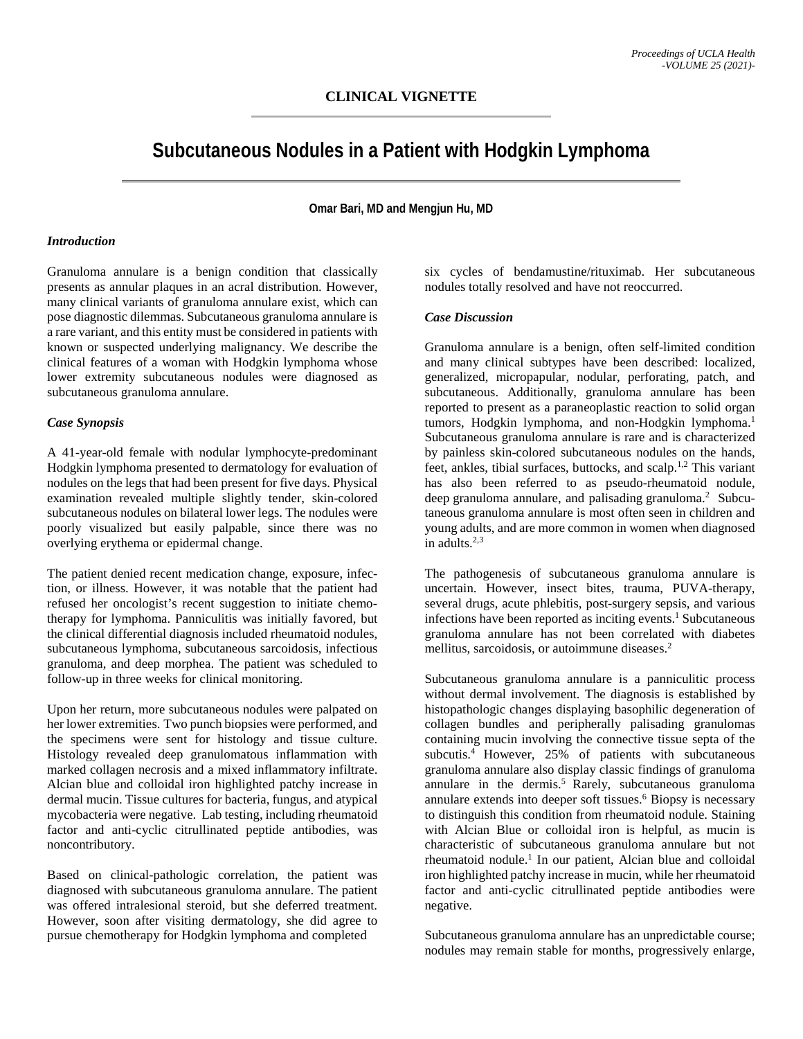# **Subcutaneous Nodules in a Patient with Hodgkin Lymphoma**

**Omar Bari, MD and Mengjun Hu, MD**

#### *Introduction*

Granuloma annulare is a benign condition that classically presents as annular plaques in an acral distribution. However, many clinical variants of granuloma annulare exist, which can pose diagnostic dilemmas. Subcutaneous granuloma annulare is a rare variant, and this entity must be considered in patients with known or suspected underlying malignancy. We describe the clinical features of a woman with Hodgkin lymphoma whose lower extremity subcutaneous nodules were diagnosed as subcutaneous granuloma annulare.

#### *Case Synopsis*

A 41-year-old female with nodular lymphocyte-predominant Hodgkin lymphoma presented to dermatology for evaluation of nodules on the legs that had been present for five days. Physical examination revealed multiple slightly tender, skin-colored subcutaneous nodules on bilateral lower legs. The nodules were poorly visualized but easily palpable, since there was no overlying erythema or epidermal change.

The patient denied recent medication change, exposure, infection, or illness. However, it was notable that the patient had refused her oncologist's recent suggestion to initiate chemotherapy for lymphoma. Panniculitis was initially favored, but the clinical differential diagnosis included rheumatoid nodules, subcutaneous lymphoma, subcutaneous sarcoidosis, infectious granuloma, and deep morphea. The patient was scheduled to follow-up in three weeks for clinical monitoring.

Upon her return, more subcutaneous nodules were palpated on her lower extremities. Two punch biopsies were performed, and the specimens were sent for histology and tissue culture. Histology revealed deep granulomatous inflammation with marked collagen necrosis and a mixed inflammatory infiltrate. Alcian blue and colloidal iron highlighted patchy increase in dermal mucin. Tissue cultures for bacteria, fungus, and atypical mycobacteria were negative. Lab testing, including rheumatoid factor and anti-cyclic citrullinated peptide antibodies, was noncontributory.

Based on clinical-pathologic correlation, the patient was diagnosed with subcutaneous granuloma annulare. The patient was offered intralesional steroid, but she deferred treatment. However, soon after visiting dermatology, she did agree to pursue chemotherapy for Hodgkin lymphoma and completed

six cycles of bendamustine/rituximab. Her subcutaneous nodules totally resolved and have not reoccurred.

## *Case Discussion*

Granuloma annulare is a benign, often self-limited condition and many clinical subtypes have been described: localized, generalized, micropapular, nodular, perforating, patch, and subcutaneous. Additionally, granuloma annulare has been reported to present as a paraneoplastic reaction to solid organ tumors, Hodgkin lymphoma, and non-Hodgkin lymphoma.<sup>1</sup> Subcutaneous granuloma annulare is rare and is characterized by painless skin-colored subcutaneous nodules on the hands, feet, ankles, tibial surfaces, buttocks, and scalp.<sup>1,2</sup> This variant has also been referred to as pseudo-rheumatoid nodule, deep granuloma annulare, and palisading granuloma. <sup>2</sup> Subcutaneous granuloma annulare is most often seen in children and young adults, and are more common in women when diagnosed in adults. $2,3$ 

The pathogenesis of subcutaneous granuloma annulare is uncertain. However, insect bites, trauma, PUVA-therapy, several drugs, acute phlebitis, post-surgery sepsis, and various infections have been reported as inciting events.<sup>1</sup> Subcutaneous granuloma annulare has not been correlated with diabetes mellitus, sarcoidosis, or autoimmune diseases.<sup>2</sup>

Subcutaneous granuloma annulare is a panniculitic process without dermal involvement. The diagnosis is established by histopathologic changes displaying basophilic degeneration of collagen bundles and peripherally palisading granulomas containing mucin involving the connective tissue septa of the subcutis.<sup>4</sup> However, 25% of patients with subcutaneous granuloma annulare also display classic findings of granuloma annulare in the dermis. <sup>5</sup> Rarely, subcutaneous granuloma annulare extends into deeper soft tissues.<sup>6</sup> Biopsy is necessary to distinguish this condition from rheumatoid nodule. Staining with Alcian Blue or colloidal iron is helpful, as mucin is characteristic of subcutaneous granuloma annulare but not rheumatoid nodule.<sup>1</sup> In our patient, Alcian blue and colloidal iron highlighted patchy increase in mucin, while her rheumatoid factor and anti-cyclic citrullinated peptide antibodies were negative.

Subcutaneous granuloma annulare has an unpredictable course; nodules may remain stable for months, progressively enlarge,